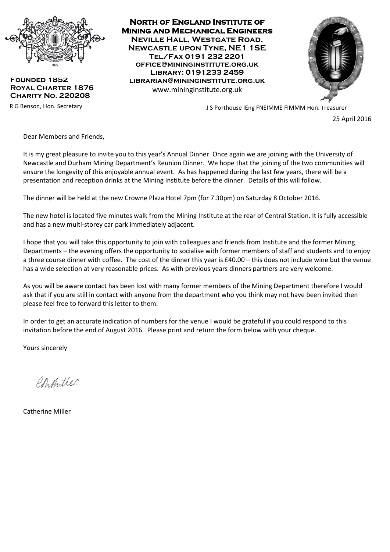

**Founded 1852 Royal Charter 1876 Charity No. 220208**

**North of England Institute of Mining and Mechanical Engineers Neville Hall, Westgate Road, Newcastle upon Tyne, NE1 1SE Tel/Fax 0191 232 2201 office@mininginstitute.org.uk Library: 0191233 2459 librarian@mininginstitute.org.uk** www.mininginstitute.org.uk



R G Benson, Hon. Secretary **No. 1988 Construction Construction** J S Porthouse IEng FNEIMME FIMMM Hon. Treasurer

25 April 2016

Dear Members and Friends,

It is my great pleasure to invite you to this year's Annual Dinner. Once again we are joining with the University of Newcastle and Durham Mining Department's Reunion Dinner. We hope that the joining of the two communities will ensure the longevity of this enjoyable annual event. As has happened during the last few years, there will be a presentation and reception drinks at the Mining Institute before the dinner. Details of this will follow.

The dinner will be held at the new Crowne Plaza Hotel 7pm (for 7.30pm) on Saturday 8 October 2016.

The new hotel is located five minutes walk from the Mining Institute at the rear of Central Station. It is fully accessible and has a new multi-storey car park immediately adjacent.

I hope that you will take this opportunity to join with colleagues and friends from Institute and the former Mining Departments – the evening offers the opportunity to socialise with former members of staff and students and to enjoy a three course dinner with coffee. The cost of the dinner this year is £40.00 – this does not include wine but the venue has a wide selection at very reasonable prices. As with previous years dinners partners are very welcome.

As you will be aware contact has been lost with many former members of the Mining Department therefore I would ask that if you are still in contact with anyone from the department who you think may not have been invited then please feel free to forward this letter to them.

In order to get an accurate indication of numbers for the venue I would be grateful if you could respond to this invitation before the end of August 2016. Please print and return the form below with your cheque.

Yours sincerely

Ch Miller

Catherine Miller